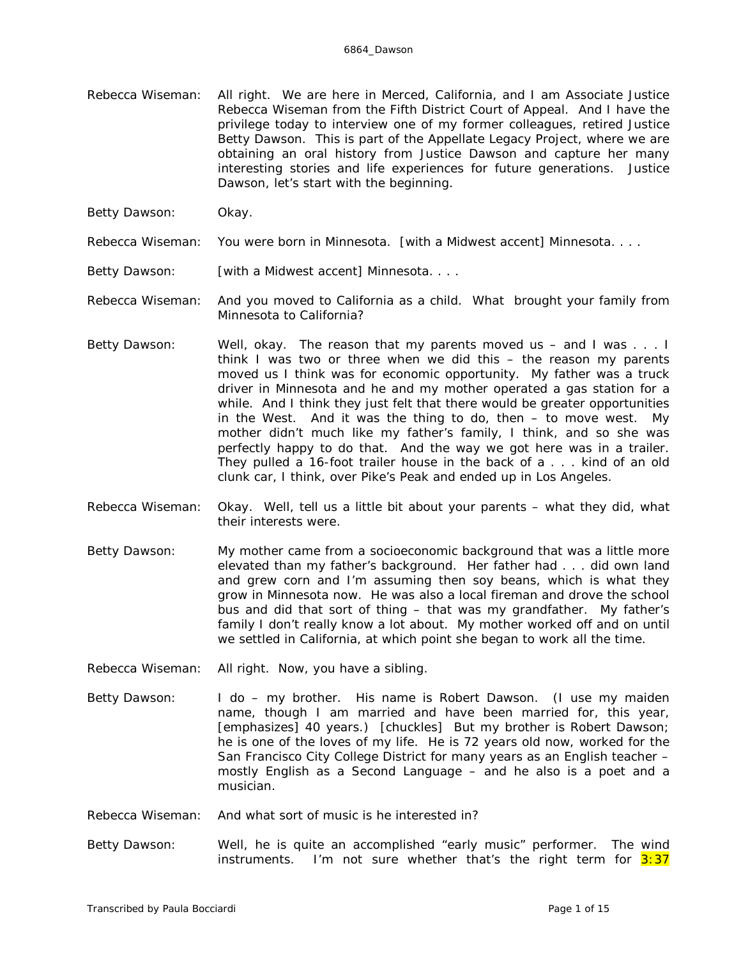- Rebecca Wiseman: All right. We are here in Merced, California, and I am Associate Justice Rebecca Wiseman from the Fifth District Court of Appeal. And I have the privilege today to interview one of my former colleagues, retired Justice Betty Dawson. This is part of the Appellate Legacy Project, where we are obtaining an oral history from Justice Dawson and capture her many interesting stories and life experiences for future generations. Justice Dawson, let's start with the beginning.
- Betty Dawson: Okay.

Rebecca Wiseman: You were born in Minnesota. *[with a Midwest accent]* Minnesota. . . .

Betty Dawson: *[with a Midwest accent]* Minnesota. . . .

Rebecca Wiseman: And you moved to California as a child. What brought your family from Minnesota to California?

- Betty Dawson: Well, okay. The reason that my parents moved us and I was . . . I think I was two or three when we did this – the reason my parents moved us I think was for economic opportunity. My father was a truck driver in Minnesota and he and my mother operated a gas station for a while. And I think they just felt that there would be greater opportunities in the West. And it was the thing to do, then – to move west. My mother didn't much like my father's family, I think, and so she was perfectly happy to do that. And the way we got here was in a trailer. They pulled a 16-foot trailer house in the back of a . . . kind of an old clunk car, I think, over Pike's Peak and ended up in Los Angeles.
- Rebecca Wiseman: Okay. Well, tell us a little bit about your parents what they did, what their interests were.
- Betty Dawson: My mother came from a socioeconomic background that was a little more elevated than my father's background. Her father had . . . did own land and grew corn and I'm assuming then soy beans, which is what they grow in Minnesota now. He was also a local fireman and drove the school bus and did that sort of thing – that was my grandfather. My father's family I don't really know a lot about. My mother worked off and on until we settled in California, at which point she began to work all the time.
- Rebecca Wiseman: All right. Now, you have a sibling.
- Betty Dawson: I do my brother. His name is Robert Dawson. (I use my maiden name, though I am married and have been married for, this year, *[emphasizes]* 40 years.) *[chuckles]* But my brother is Robert Dawson; he is one of the loves of my life. He is 72 years old now, worked for the San Francisco City College District for many years as an English teacher – mostly English as a Second Language – and he also is a poet and a musician.
- Rebecca Wiseman: And what sort of music is he interested in?
- Betty Dawson: Well, he is quite an accomplished "early music" performer. The wind instruments. I'm not sure whether that's the right term for  $3:37$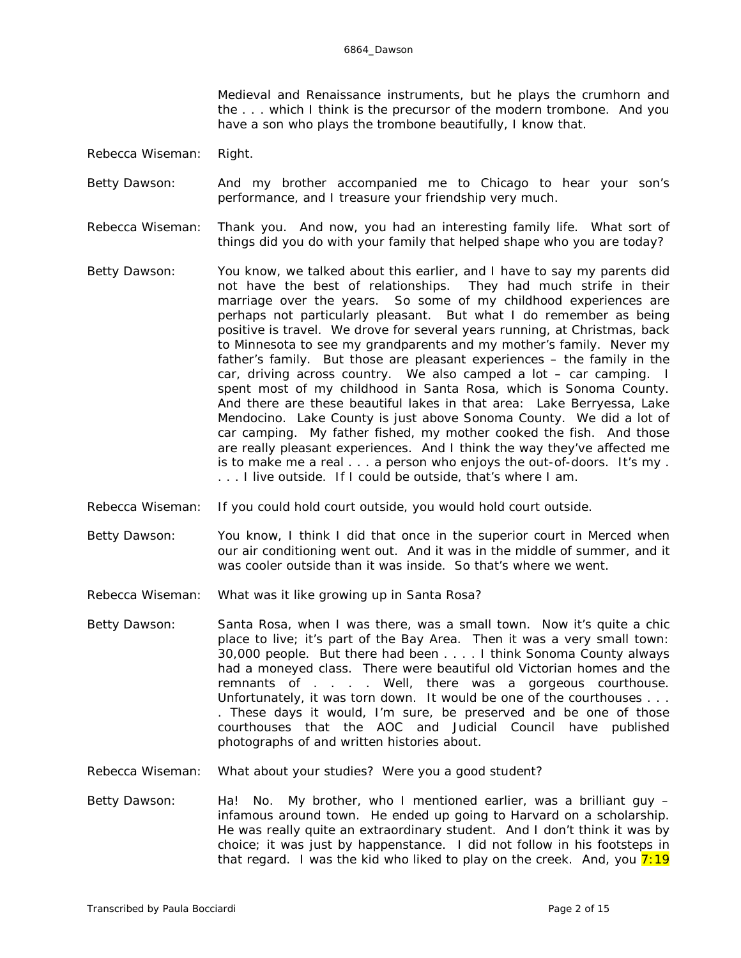Medieval and Renaissance instruments, but he plays the crumhorn and the . . . which I think is the precursor of the modern trombone. And you have a son who plays the trombone beautifully, I know that.

- Rebecca Wiseman: Right.
- Betty Dawson: And my brother accompanied me to Chicago to hear your son's performance, and I treasure your friendship very much.
- Rebecca Wiseman: Thank you. And now, you had an interesting family life. What sort of things did you do with your family that helped shape who you are today?
- Betty Dawson: You know, we talked about this earlier, and I have to say my parents did not have the best of relationships. They had much strife in their marriage over the years. So some of my childhood experiences are perhaps not particularly pleasant. But what I do remember as being positive is travel. We drove for several years running, at Christmas, back to Minnesota to see my grandparents and my mother's family. Never my father's family. But those are pleasant experiences – the family in the car, driving across country. We also camped a lot – car camping. I spent most of my childhood in Santa Rosa, which is Sonoma County. And there are these beautiful lakes in that area: Lake Berryessa, Lake Mendocino. Lake County is just above Sonoma County. We did a lot of car camping. My father fished, my mother cooked the fish. And those are really pleasant experiences. And I think the way they've affected me is to make me a real . . . a person who enjoys the out-of-doors. It's my . . . . I live outside. If I could be outside, that's where I am.
- Rebecca Wiseman: If you could hold court outside, you would hold court outside.
- Betty Dawson: You know, I think I did that once in the superior court in Merced when our air conditioning went out. And it was in the middle of summer, and it was cooler outside than it was inside. So that's where we went.
- Rebecca Wiseman: What was it like growing up in Santa Rosa?
- Betty Dawson: Santa Rosa, when I was there, was a small town. Now it's quite a chic place to live; it's part of the Bay Area. Then it was a very small town: 30,000 people. But there had been . . . . I think Sonoma County always had a moneyed class. There were beautiful old Victorian homes and the remnants of . . . . Well, there was a *gorgeous* courthouse. Unfortunately, it was torn down. It *would* be one of the courthouses . . . . These days it would, I'm sure, be preserved and be one of those courthouses that the AOC and Judicial Council have published photographs of and written histories about.
- Rebecca Wiseman: What about your studies? Were you a good student?
- Betty Dawson: Ha! No. My brother, who I mentioned earlier, was a brilliant guy infamous around town. He ended up going to Harvard on a scholarship. He was really quite an extraordinary student. And I don't think it was by choice; it was just by happenstance. I did not follow in his footsteps in that regard. I was the kid who liked to play on the creek. And, you  $7:19$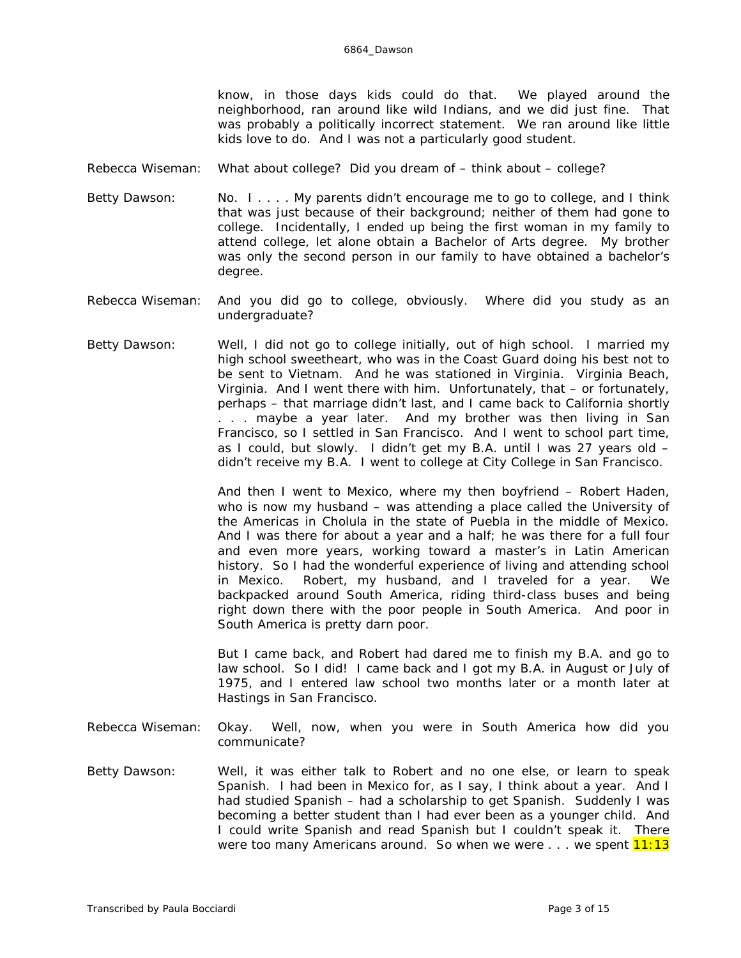know, in those days kids could do that. We played around the neighborhood, ran around like wild Indians, and we did just fine. That was probably a politically incorrect statement. We ran around like little kids love to do. And I was not a particularly good student.

- Rebecca Wiseman: What about college? Did you dream of think about college?
- Betty Dawson: No. I . . . . My parents didn't encourage me to go to college, and I think that was just because of their background; neither of them had gone to college. Incidentally, I ended up being the first woman in my family to *attend* college, let alone obtain a Bachelor of Arts degree. My brother was only the second *person* in our family to have obtained a bachelor's degree.
- Rebecca Wiseman: And you did go to college, obviously. Where did you study as an undergraduate?
- Betty Dawson: Well, I did not go to college initially, out of high school. I married my high school sweetheart, who was in the Coast Guard doing his best not to be sent to Vietnam. And he was stationed in Virginia. Virginia Beach, Virginia. And I went there with him. Unfortunately, that – or fortunately, perhaps – that marriage didn't last, and I came back to California shortly . . . maybe a year later. And my brother was then living in San Francisco, so I settled in San Francisco. And I went to school part time, as I could, but slowly. I didn't get my B.A. until I was 27 years old – didn't receive my B.A. I went to college at City College in San Francisco.

And then I went to Mexico, where my then boyfriend – Robert Haden, who is now my husband – was attending a place called the University of the Americas in Cholula in the state of Puebla in the middle of Mexico. And I was there for about a year and a half; he was there for a full four and even more years, working toward a master's in Latin American history. So I had the *wonderful* experience of living and attending school in Mexico. Robert, my husband, and I traveled for a year. We backpacked around South America, riding third-class buses and being right down there with the poor people in South America. And poor in South America is pretty darn poor.

But I came back, and Robert had dared me to finish my B.A. and go to law school. So I did! I came back and I got my B.A. in August or July of 1975, and I entered law school two months later or a month later at Hastings in San Francisco.

- Rebecca Wiseman: Okay. Well, now, when you were in South America how did you communicate?
- Betty Dawson: Well, it was either talk to Robert and no one else, or learn to speak Spanish. I had been in Mexico for, as I say, I think about a year. And I had studied Spanish – had a scholarship to get Spanish. Suddenly I was becoming a better student than I had ever been as a younger child. And I could write Spanish and read Spanish but I couldn't speak it. There were too many Americans around. So when we were  $\ldots$  we spent  $11:13$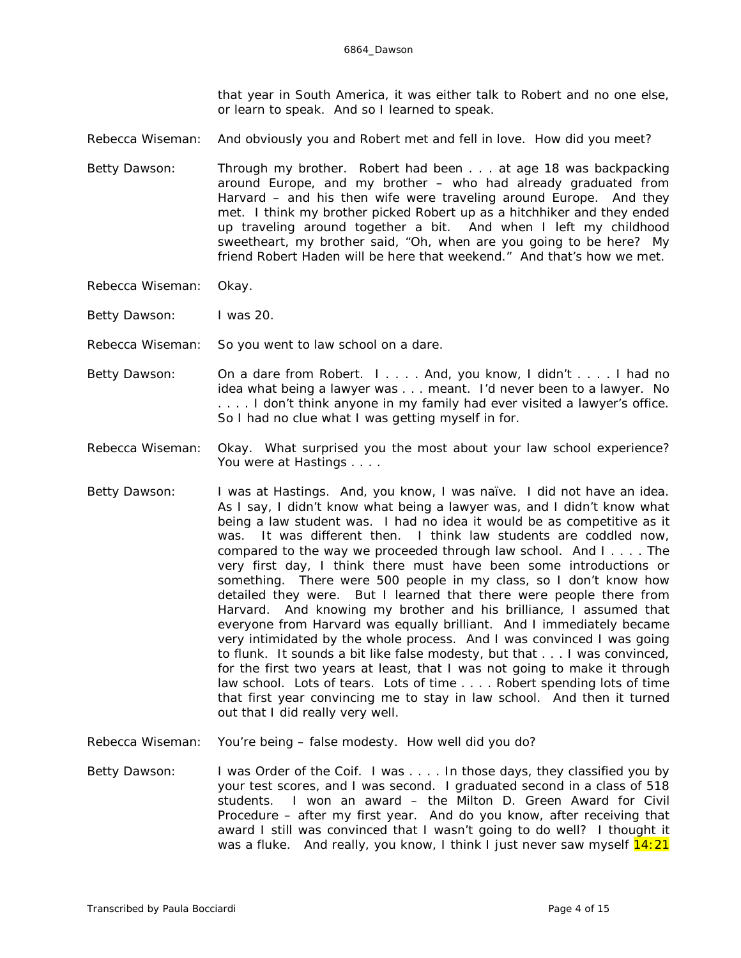that year in South America, it was either talk to Robert and no one else, or learn to speak. And so I learned to speak.

- Rebecca Wiseman: And obviously you and Robert met and fell in love. How did you meet?
- Betty Dawson: Through my brother. Robert had been . . . at age 18 was backpacking around Europe, and my brother – who had already graduated from Harvard – and his then wife were traveling around Europe. And they met. I think my brother picked Robert up as a hitchhiker and they ended up traveling around together a bit. And when I left my childhood sweetheart, my brother said, "Oh, when are you going to be here? My friend Robert Haden will be here that weekend." And that's how we met.
- Rebecca Wiseman: Okay.
- Betty Dawson: I was 20.
- Rebecca Wiseman: So you went to law school on a dare.
- Betty Dawson: On a dare from Robert. I . . . . And, you know, I didn't . . . . I had *no* idea what being a lawyer was . . . meant. I'd never been to a lawyer. No . . . . I don't think anyone in my family had ever visited a lawyer's office. So I had no clue what I was getting myself in for.
- Rebecca Wiseman: Okay. What surprised you the most about your law school experience? You were at Hastings . . . .
- Betty Dawson: I was at Hastings. And, you know, I was naïve. I did not have an idea. As I say, I didn't know what being a lawyer was, and I didn't know what being a law student was. I had no idea it would be as competitive as it was. It was different then. I think law students are coddled now, compared to the way we proceeded through law school. And I . . . . The very first day, I think there must have been some introductions or something. There were 500 people in my class, so I don't know how detailed they were. But I learned that there were people there from Harvard. And knowing my brother and his brilliance, I assumed that everyone from Harvard was equally brilliant. And I immediately became very intimidated by the whole process. And I was *convinced* I was going to flunk. It sounds a bit like false modesty, but that . . . I was convinced, for the first two years at least, that I was not going to make it through law school. Lots of tears. Lots of time . . . . Robert spending lots of time that first year convincing me to stay in law school. And then it turned out that I did really very well.
- Rebecca Wiseman: You're being false modesty. How well did you do?
- Betty Dawson: I was Order of the Coif. I was . . . . In those days, they classified you by your test scores, and I was second. I graduated second in a class of 518 students. I won an award – the Milton D. Green Award for Civil Procedure – after my first year. And do you know, after receiving that award I still was convinced that I wasn't going to do well? I thought it was a fluke. And really, you know, I think I just never saw myself  $14:21$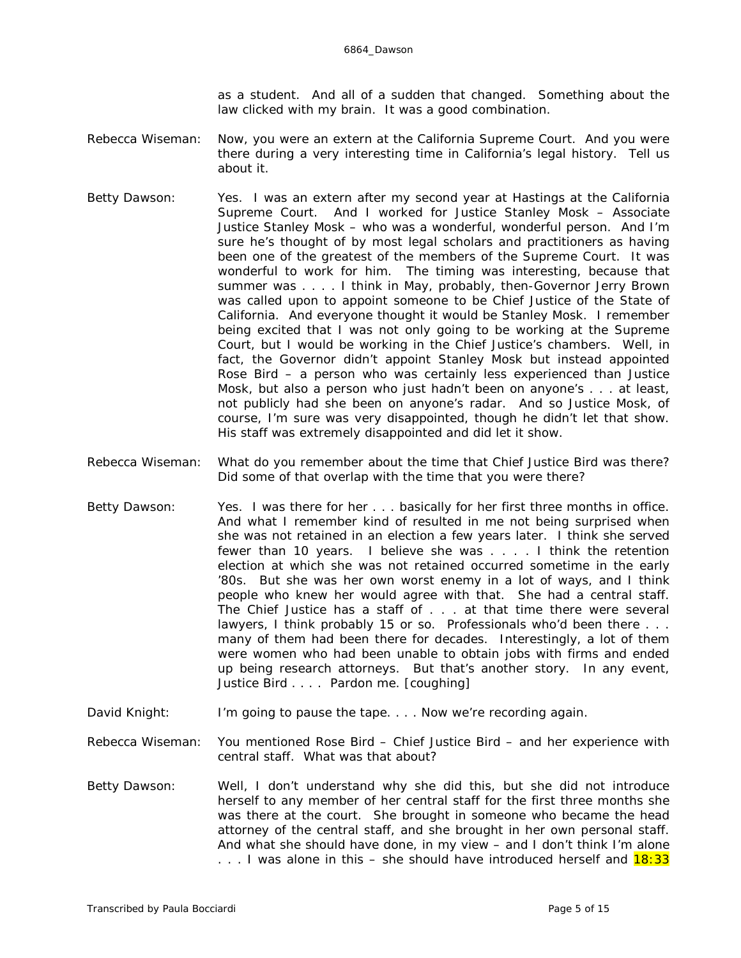as a student. And all of a sudden that changed. Something about the law clicked with my brain. It was a good combination.

- Rebecca Wiseman: Now, you were an extern at the California Supreme Court. And you were there during a *very* interesting time in California's legal history. Tell us about it.
- Betty Dawson: Yes. I was an extern after my second year at Hastings at the California Supreme Court. And I worked for Justice Stanley Mosk – Associate Justice Stanley Mosk – who was a wonderful, wonderful person. And I'm sure he's thought of by most legal scholars and practitioners as having been one of the greatest of the members of the Supreme Court. It was wonderful to work for him. The timing was interesting, because that summer was . . . . I think in May, probably, then-Governor Jerry Brown was called upon to appoint someone to be Chief Justice of the State of California. And everyone thought it would be Stanley Mosk. I remember being excited that I was not only going to be working at the Supreme Court, but I would be working in the Chief Justice's chambers. Well, in fact, the Governor didn't appoint Stanley Mosk but instead appointed Rose Bird – a person who was certainly less experienced than Justice Mosk, but also a person who just hadn't been on anyone's . . . at least, not *publicly* had she been on anyone's radar. And so Justice Mosk, of course, I'm sure was very disappointed, though he didn't let that show. His staff was extremely disappointed and *did* let it show.
- Rebecca Wiseman: What do you remember about the time that Chief Justice Bird was there? Did some of that overlap with the time that you were there?
- Betty Dawson: Yes. I was there for her . . . basically for her first three months in office. And what I remember kind of resulted in me not being surprised when she was not retained in an election a few years later. I think she served fewer than 10 years. I believe she was . . . . I think the retention election at which she was not retained occurred sometime in the early '80s. But she was her own worst enemy in a lot of ways, and I think people who knew her would agree with that. She had a central staff. The Chief Justice has a staff of . . . at that time there were several lawyers, I think probably 15 or so. Professionals who'd been there . . . many of them had been there for decades. Interestingly, a lot of them were women who had been unable to obtain jobs with firms and ended up being research attorneys. But that's another story. In any event, Justice Bird . . . . Pardon me. *[coughing]*
- David Knight: I'm going to pause the tape. . . . Now we're recording again.

Rebecca Wiseman: You mentioned Rose Bird – Chief Justice Bird – and her experience with central staff. What was that about?

Betty Dawson: Well, I don't understand why she did this, but she did not introduce herself to any member of her central staff for the first three months she was there at the court. She brought in someone who became the head attorney of the central staff, and she brought in her own personal staff. And what she should have done, in my view – and I don't think I'm alone ... I was alone in this  $-$  she should have introduced herself and  $18:33$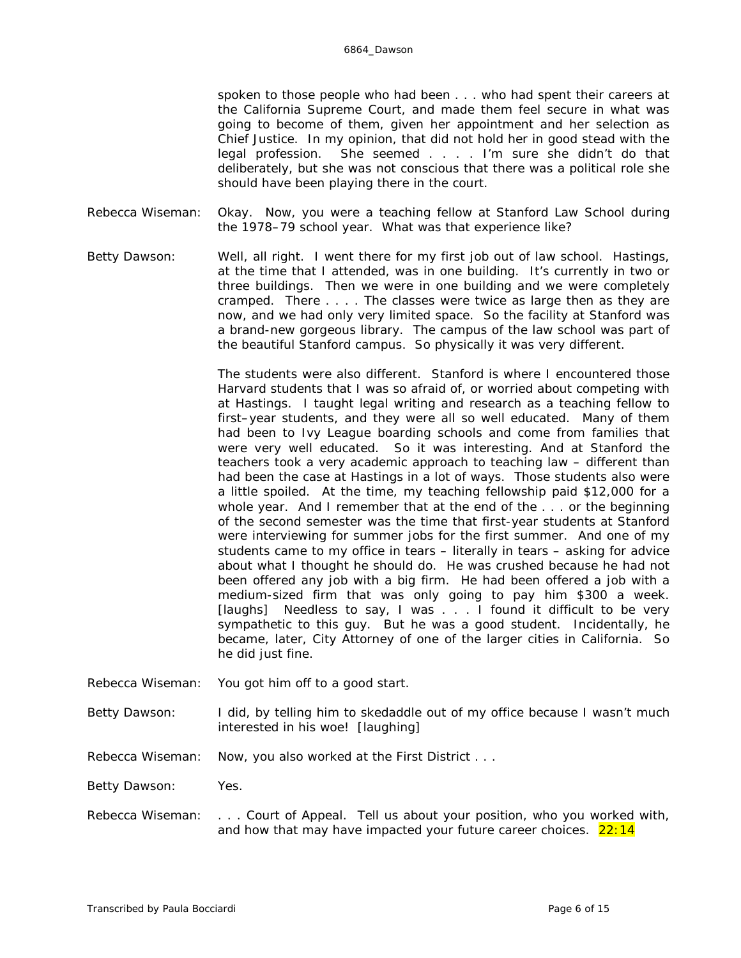spoken to those people who had been . . . who had spent their careers at the California Supreme Court, and made them feel secure in what was going to become of them, given her appointment and her selection as Chief Justice. In my opinion, that did not hold her in good stead with the legal profession. She seemed . . . . I'm sure she didn't do that deliberately, but she was not conscious that there was a political role she should have been playing there in the court.

- Rebecca Wiseman: Okay. Now, you were a teaching fellow at Stanford Law School during the 1978–79 school year. What was that experience like?
- Betty Dawson: Well, all right. I went there for my first job out of law school. Hastings, at the time that I attended, was in one building. It's currently in two or three buildings. Then we were in one building and we were *completely* cramped. There . . . . The classes were twice as large then as they are now, and we had only very limited space. So the facility at Stanford was a brand-new gorgeous library. The campus of the law school was part of the beautiful Stanford campus. So physically it was very different.

The students were also different. Stanford is where I encountered those Harvard students that I was so afraid of, or worried about competing with at Hastings. I taught legal writing and research as a teaching fellow to first–year students, and they were all *so* well educated. Many of them had been to Ivy League boarding schools and come from families that were very well educated. So it was interesting. And at Stanford the teachers took a very academic approach to teaching law – different than had been the case at Hastings in a lot of ways. Those students also were a little spoiled. At the time, my teaching fellowship paid \$12,000 for a whole year. And I remember that at the end of the . . . or the beginning of the second semester was the time that first-year students at Stanford were interviewing for summer jobs for the first summer. And one of my students came to my office in tears – literally in tears – asking for advice about what I thought he should do. He was crushed because he had not been offered any job with a big firm. He had been offered a job with a medium-sized firm that was only going to pay him \$300 a week. *[laughs]* Needless to say, I was . . . I found it difficult to be very sympathetic to this guy. But he was a good student. Incidentally, he became, later, City Attorney of one of the larger cities in California. So he did just fine.

Rebecca Wiseman: You got him off to a good start.

Betty Dawson: I did, by telling him to skedaddle out of my office because I wasn't much interested in his woe! *[laughing]*

Rebecca Wiseman: Now, you also worked at the First District . . .

Betty Dawson: Yes.

Rebecca Wiseman: . . . Court of Appeal. Tell us about your position, who you worked with, and how that may have impacted your future career choices.  $22:14$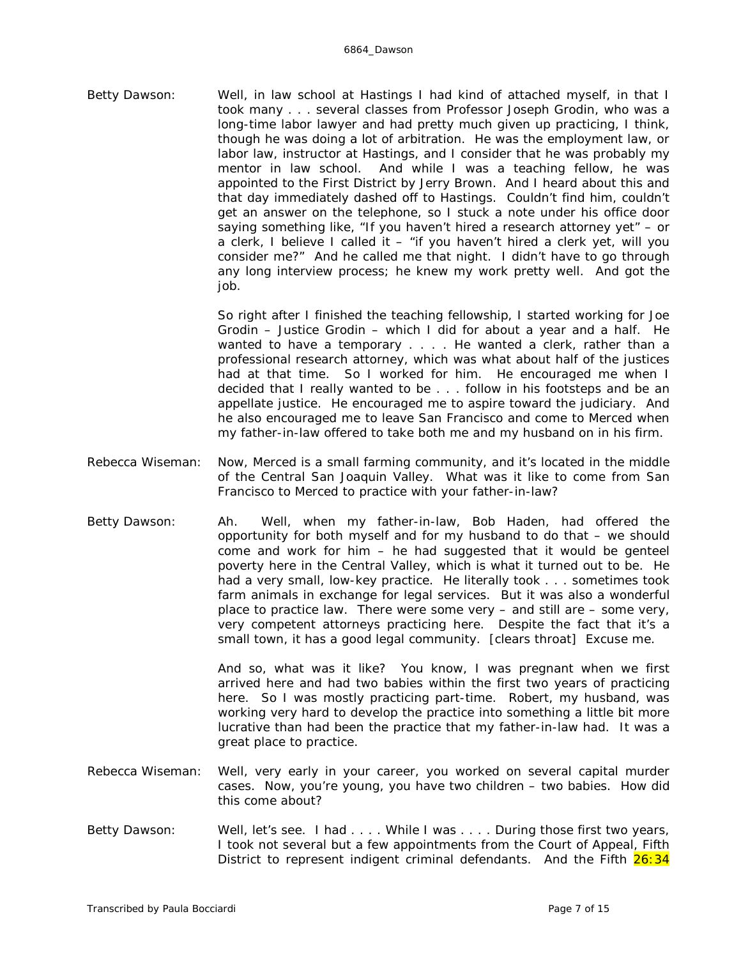Betty Dawson: Well, in law school at Hastings I had kind of attached myself, in that I took many . . . several classes from Professor Joseph Grodin, who was a long-time labor lawyer and had pretty much given up practicing, I think, though he was doing a lot of arbitration. He was the employment law, or labor law, instructor at Hastings, and I consider that he was probably my mentor in law school. And while I was a teaching fellow, he was appointed to the First District by Jerry Brown. And I heard about this and that day immediately dashed off to Hastings. Couldn't find him, couldn't get an answer on the telephone, so I stuck a note under his office door saying something like, "If you haven't hired a research attorney yet" – or a clerk, I believe I called it – "if you haven't hired a clerk yet, will you consider me?" And he called me that night. I didn't have to go through any long interview process; he knew my work pretty well. And got the job.

> So right after I finished the teaching fellowship, I started working for Joe Grodin – Justice Grodin – which I did for about a year and a half. He wanted to have a temporary . . . . He wanted a clerk, rather than a professional research attorney, which was what about half of the justices had at that time. So I worked for him. He encouraged me when I decided that I really wanted to be . . . follow in his footsteps and be an appellate justice. He encouraged me to aspire toward the judiciary. And he also encouraged me to leave San Francisco and come to Merced when my father-in-law offered to take both me and my husband on in his firm.

- Rebecca Wiseman: Now, Merced is a small farming community, and it's located in the middle of the Central San Joaquin Valley. What was it like to come from San Francisco to Merced to practice with your father-in-law?
- Betty Dawson: Ah. Well, when my father-in-law, Bob Haden, had offered the opportunity for both myself and for my husband to do that – we should come and work for him – he had suggested that it would be genteel poverty here in the Central Valley, which is what it turned out to be. He had a very small, low-key practice. He literally took . . . sometimes took farm animals in exchange for legal services. But it was also a wonderful place to practice law. There were some very – and still are – some very, very competent attorneys practicing here. Despite the fact that it's a small town, it has a good legal community. *[clears throat]* Excuse me.

And so, what was it like? You know, I was pregnant when we first arrived here and had two babies within the first two years of practicing here. So I was mostly practicing part-time. Robert, my husband, was working very hard to develop the practice into something a little bit more lucrative than had been the practice that my father-in-law had. It was a great place to practice.

- Rebecca Wiseman: Well, very early in your career, you worked on several capital murder cases. Now, you're young, you have two children – two babies. How did this come about?
- Betty Dawson: Well, let's see. I had ... While I was ... During those first two years, I took not several but a few appointments from the Court of Appeal, Fifth District to represent indigent criminal defendants. And the Fifth 26:34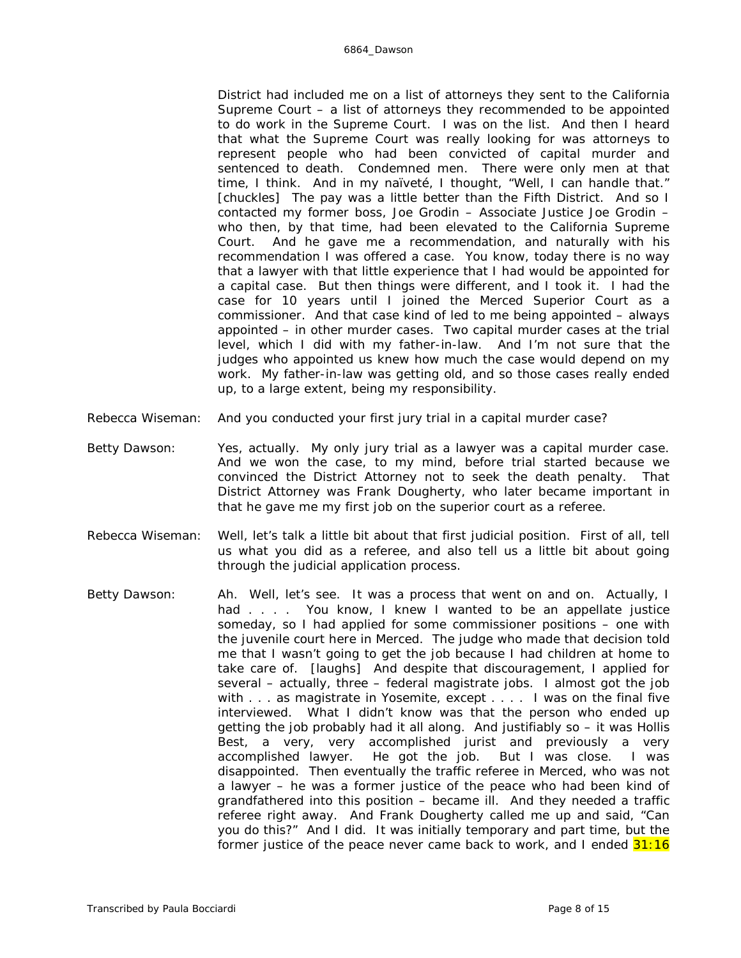District had included me on a list of attorneys they sent to the California Supreme Court – a list of attorneys they recommended to be appointed to do work in the Supreme Court. I was on the list. And then I heard that what the Supreme Court was really looking for was attorneys to represent people who had been convicted of capital murder and sentenced to death. Condemned men. There were only men at that time, I think. And in my naïveté, I thought, "Well, I can handle that." *[chuckles]* The pay was a little better than the Fifth District. And so I contacted my former boss, Joe Grodin – Associate Justice Joe Grodin – who then, by that time, had been elevated to the California Supreme Court. And he gave me a recommendation, and naturally with his recommendation I was offered a case. You know, today there is no way that a lawyer with that little experience that I had would be appointed for a capital case. But then things were different, and I took it. I had the case for 10 years until I joined the Merced Superior Court as a commissioner. And that case kind of led to me being appointed – always appointed – in other murder cases. Two capital murder cases at the trial level, which I did with my father-in-law. And I'm not sure that the judges who appointed us knew how much the case would depend on *my* work. My father-in-law was getting old, and so those cases really ended up, to a large extent, being my responsibility.

- Rebecca Wiseman: And you conducted your first jury trial in a capital murder case?
- Betty Dawson: Yes, actually. My *only* jury trial as a lawyer was a capital murder case. And we won the case, to my mind, before trial started because we convinced the District Attorney not to seek the death penalty. That District Attorney was Frank Dougherty, who later became important in that he gave me my first job on the superior court as a referee.
- Rebecca Wiseman: Well, let's talk a little bit about that first judicial position. First of all, tell us what you did as a referee, and also tell us a little bit about going through the judicial application process.
- Betty Dawson: Ah. Well, let's see. It was a process that went on and on. Actually, I had . . . . You know, I knew I wanted to be an appellate justice someday, so I had applied for some commissioner positions – one with the juvenile court here in Merced. The judge who made that decision told me that I wasn't going to get the job because I had children at home to take care of. *[laughs]* And despite that discouragement, I applied for several – actually, three – federal magistrate jobs. I almost got the job with . . . as magistrate in Yosemite, except . . . . I was on the final five interviewed. What I didn't know was that the person who ended up getting the job probably had it all along. And justifiably so – it was Hollis Best, a very, very accomplished jurist and previously a very accomplished lawyer. He got the job. But I was close. I was disappointed. Then eventually the traffic referee in Merced, who was not a lawyer – he was a former justice of the peace who had been kind of grandfathered into this position – became ill. And they needed a traffic referee right away. And Frank Dougherty called me up and said, "Can you do this?" And I did. It was initially temporary and part time, but the former justice of the peace never came back to work, and I ended  $31:16$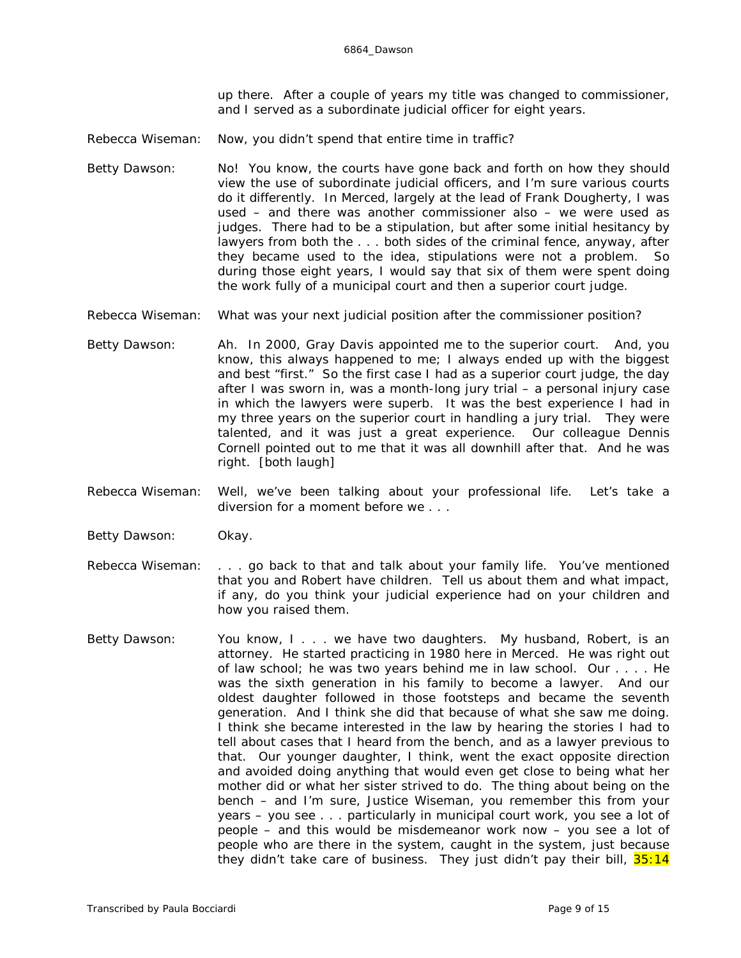up there. After a couple of years my title was changed to commissioner, and I served as a subordinate judicial officer for eight years.

- Rebecca Wiseman: Now, you didn't spend that entire time in traffic?
- Betty Dawson: No! You know, the courts have gone back and forth on how they should view the use of subordinate judicial officers, and I'm sure various courts do it differently. In Merced, largely at the lead of Frank Dougherty, I was used – and there was another commissioner also – we were used as judges. There had to be a stipulation, but after some initial hesitancy by lawyers from both the . . . both sides of the criminal fence, anyway, after they became used to the idea, stipulations were not a problem. So during those eight years, I would say that six of them were spent doing the work fully of a municipal court and then a superior court judge.
- Rebecca Wiseman: What was your next judicial position after the commissioner position?
- Betty Dawson: Ah. In 2000, Gray Davis appointed me to the superior court. And, you know, this always happened to me; I always ended up with the biggest and best "first." So the first case I had as a superior court judge, the day after I was sworn in, was a month-long jury trial – a personal injury case in which the lawyers were superb. It was the best experience I had in my three years on the superior court in handling a jury trial. They were talented, and it was just a great experience. Our colleague Dennis Cornell pointed out to me that it was all downhill after that. And he was right. *[both laugh]*
- Rebecca Wiseman: Well, we've been talking about your professional life. Let's take a diversion for a moment before we . . .
- Betty Dawson: Okay.
- Rebecca Wiseman: . . . go back to that and talk about your family life. You've mentioned that you and Robert have children. Tell us about them and what impact, if any, do you think your judicial experience had on your children and how you raised them.
- Betty Dawson: You know, I . . . we have two daughters. My husband, Robert, is an attorney. He started practicing in 1980 here in Merced. He was right out of law school; he was two years behind me in law school. Our . . . . He was the sixth generation in his family to become a lawyer. And our oldest daughter followed in those footsteps and became the seventh generation. And I think she did that because of what she saw *me* doing. I think she became interested in the law by hearing the stories I had to tell about cases that I heard from the bench, and as a lawyer previous to that. Our younger daughter, I think, went the exact opposite direction and avoided doing anything that would even get close to being what her mother did or what her sister strived to do. The thing about being on the bench – and I'm sure, Justice Wiseman, you remember this from your years – you see . . . particularly in municipal court work, you see a lot of people – and this would be misdemeanor work now – you see a lot of people who are there in the system, caught in the system, just because they didn't take care of business. They just didn't pay their bill,  $35:14$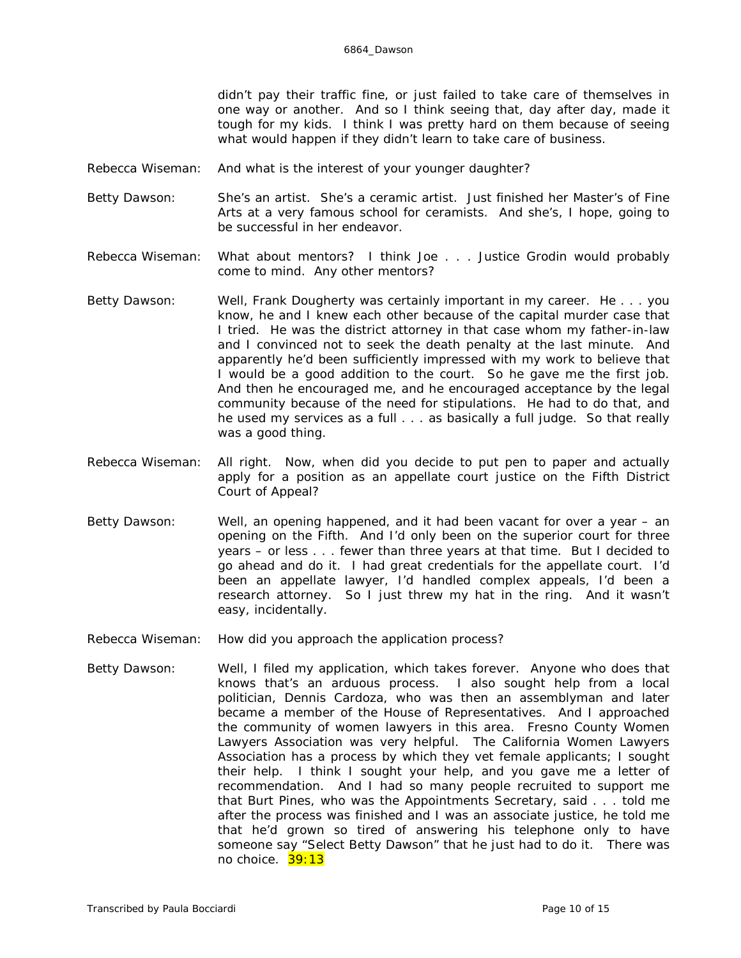didn't pay their traffic fine, or just failed to take care of themselves in one way or another. And so I think seeing that, day after day, made it tough for my kids. I think I was pretty hard on them because of seeing what would happen if they didn't learn to take care of business.

- Rebecca Wiseman: And what is the interest of your younger daughter?
- Betty Dawson: She's an artist. She's a ceramic artist. Just finished her Master's of Fine Arts at a very famous school for ceramists. And she's, I hope, going to be successful in her endeavor.
- Rebecca Wiseman: What about mentors? I think Joe . . . Justice Grodin would probably come to mind. Any other mentors?
- Betty Dawson: Well, Frank Dougherty was certainly important in my career. He . . . you know, he and I knew each other because of the capital murder case that I tried. He was the district attorney in that case whom my father-in-law and I convinced not to seek the death penalty at the last minute. And apparently he'd been sufficiently impressed with my work to believe that I would be a good addition to the court. So he gave me the first job. And then he encouraged me, and he encouraged acceptance by the legal community because of the need for stipulations. He had to do that, and he used my services as a full . . . as basically a full judge. So that really was a good thing.
- Rebecca Wiseman: All right. Now, when did you decide to put pen to paper and actually apply for a position as an appellate court justice on the Fifth District Court of Appeal?
- Betty Dawson: Well, an opening happened, and it had been vacant for over a year an opening on the Fifth. And I'd only been on the superior court for three years – or less . . . fewer than three years at that time. But I decided to go ahead and do it. I had great credentials for the appellate court. I'd been an appellate lawyer, I'd handled complex appeals, I'd been a research attorney. So I just threw my hat in the ring. And it wasn't easy, incidentally.
- Rebecca Wiseman: How did you approach the application process?
- Betty Dawson: Well, I filed my application, which takes forever. Anyone who does that knows that's an arduous process. I also sought help from a local politician, Dennis Cardoza, who was then an assemblyman and later became a member of the House of Representatives. And I approached the community of women lawyers in this area. Fresno County Women Lawyers Association was very helpful. The California Women Lawyers Association has a process by which they vet female applicants; I sought their help. I think I sought your help, and you gave me a letter of recommendation. And I had so many people recruited to support me that Burt Pines, who was the Appointments Secretary, said . . . told me after the process was finished and I was an associate justice, he told me that he'd grown so tired of answering his telephone only to have someone say "Select Betty Dawson" that he just had to do it. There was no choice. 39:13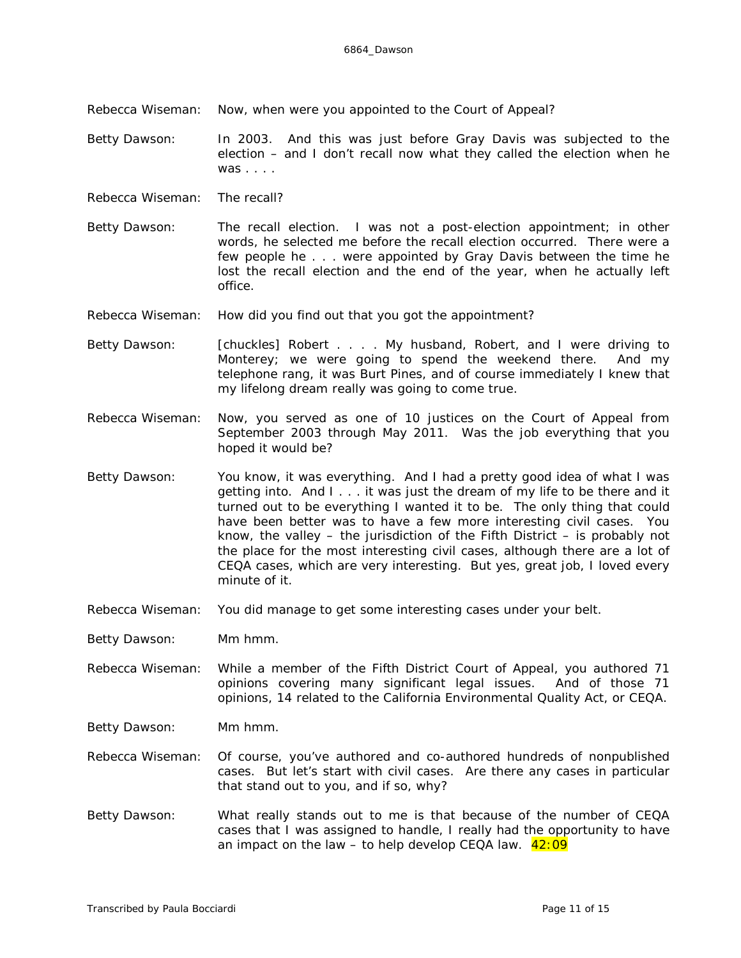Rebecca Wiseman: Now, when were you appointed to the Court of Appeal?

Betty Dawson: In 2003. And this was just before Gray Davis was subjected to the election – and I don't recall now what they called the election when he was . . . .

- Rebecca Wiseman: The recall?
- Betty Dawson: The recall election. I was not a post-election appointment; in other words, he selected me before the recall election occurred. There were a few people he . . . were appointed by Gray Davis between the time he lost the recall election and the end of the year, when he actually left office.
- Rebecca Wiseman: How did you find out that you got the appointment?
- Betty Dawson: *[chuckles]* Robert . . . . My husband, Robert, and I were driving to Monterey; we were going to spend the weekend there. And my telephone rang, it was Burt Pines, and of course immediately I knew that my lifelong dream really was going to come true.
- Rebecca Wiseman: Now, you served as one of 10 justices on the Court of Appeal from September 2003 through May 2011. Was the job everything that you hoped it would be?
- Betty Dawson: You know, it was *everything*. And I had a pretty good idea of what I was getting into. And I . . . it was just the dream of my life to be there and it turned out to be everything I wanted it to be. The only thing that could have been better was to have a few more interesting civil cases. You know, the valley – the jurisdiction of the Fifth District – is probably not the place for the *most* interesting civil cases, although there are a lot of CEQA cases, which are very interesting. But yes, great job, I loved every minute of it.
- Rebecca Wiseman: You did manage to get some interesting cases under your belt.

Betty Dawson: Mm hmm.

- Rebecca Wiseman: While a member of the Fifth District Court of Appeal, you authored 71 opinions covering many significant legal issues. And of those 71 opinions, 14 related to the California Environmental Quality Act, or CEQA.
- Betty Dawson: Mm hmm.
- Rebecca Wiseman: Of course, you've authored and co-authored hundreds of nonpublished cases. But let's start with civil cases. Are there any cases in particular that stand out to you, and if so, why?
- Betty Dawson: What really stands out to me is that because of the number of CEQA cases that I was assigned to handle, I really had the opportunity to have an impact on the law  $-$  to help develop CEQA law.  $42:09$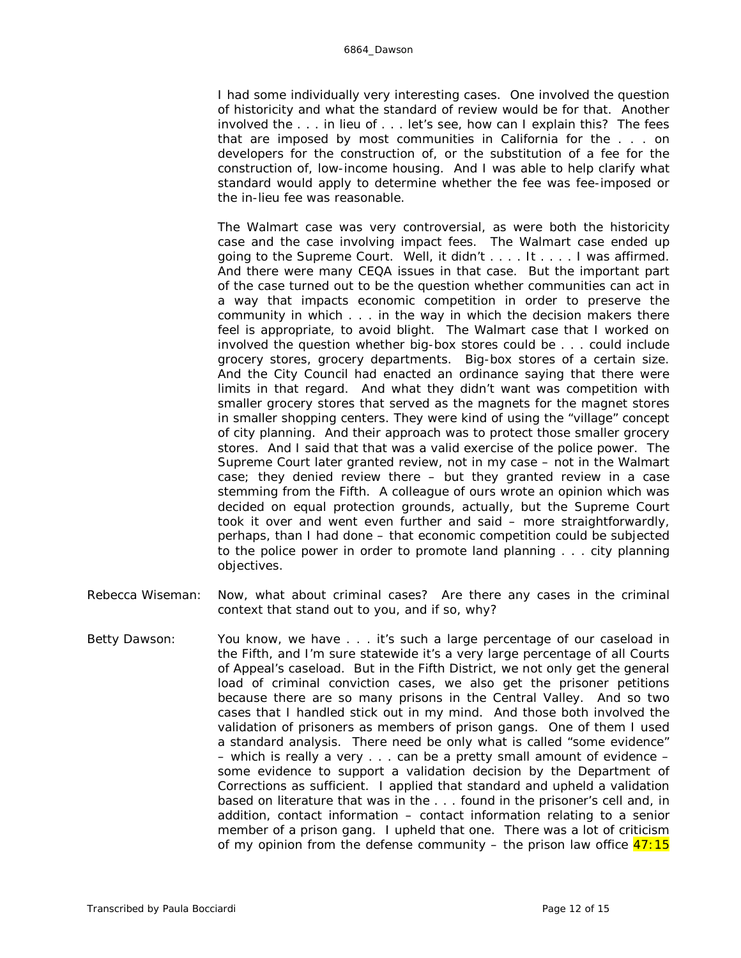I had some individually very interesting cases. One involved the question of historicity and what the standard of review would be for that. Another involved the . . . in lieu of . . . let's see, how can I explain this? The fees that are imposed by most communities in California for the . . . on developers for the construction of, or the substitution of a fee for the construction of, low-income housing. And I was able to help clarify what standard would apply to determine whether the fee was fee-imposed or the in-lieu fee was reasonable.

The Walmart case was *very* controversial, as were both the historicity case and the case involving impact fees. The Walmart case ended up going to the Supreme Court. Well, it didn't . . . . It . . . . I was affirmed. And there were many CEQA issues in that case. But the important part of the case turned out to be the question whether communities can act in a way that impacts economic competition in order to preserve the community in which . . . in the way in which the decision makers there feel is appropriate, to avoid blight. The Walmart case that I worked on involved the question whether big-box stores could be . . . could include grocery stores, grocery departments. Big-box stores of a certain size. And the City Council had enacted an ordinance saying that there were limits in that regard. And what they didn't want was competition with smaller grocery stores that served as the magnets for the magnet stores in smaller shopping centers. They were kind of using the "village" concept of city planning. And their approach was to protect those smaller grocery stores. And I said that that was a valid exercise of the police power. The Supreme Court later granted review, not in my case – not in the Walmart case; they denied review there – but they granted review in a case stemming from the Fifth. A colleague of ours wrote an opinion which was decided on equal protection grounds, actually, but the Supreme Court took it over and went even further and said – more straightforwardly, perhaps, than I had done – that economic competition *could* be subjected to the police power in order to promote land planning . . . city planning objectives.

- Rebecca Wiseman: Now, what about criminal cases? Are there any cases in the criminal context that stand out to you, and if so, why?
- Betty Dawson: You know, we have . . . it's such a large percentage of our caseload in the Fifth, and I'm sure statewide it's a very large percentage of all Courts of Appeal's caseload. But in the Fifth District, we not only get the general load of criminal conviction cases, we also get the prisoner petitions because there are so many prisons in the Central Valley. And so two cases that I handled stick out in my mind. And those both involved the validation of prisoners as members of prison gangs. One of them I used a standard analysis. There need be only what is called "some evidence" – which is really a very . . . can be a pretty small amount of evidence – some evidence to support a validation decision by the Department of Corrections as sufficient. I applied that standard and upheld a validation based on literature that was in the . . . found in the prisoner's cell and, in addition, contact information – contact information relating to a senior member of a prison gang. I upheld that one. There was a lot of criticism of my opinion from the defense community – the prison law office  $47:15$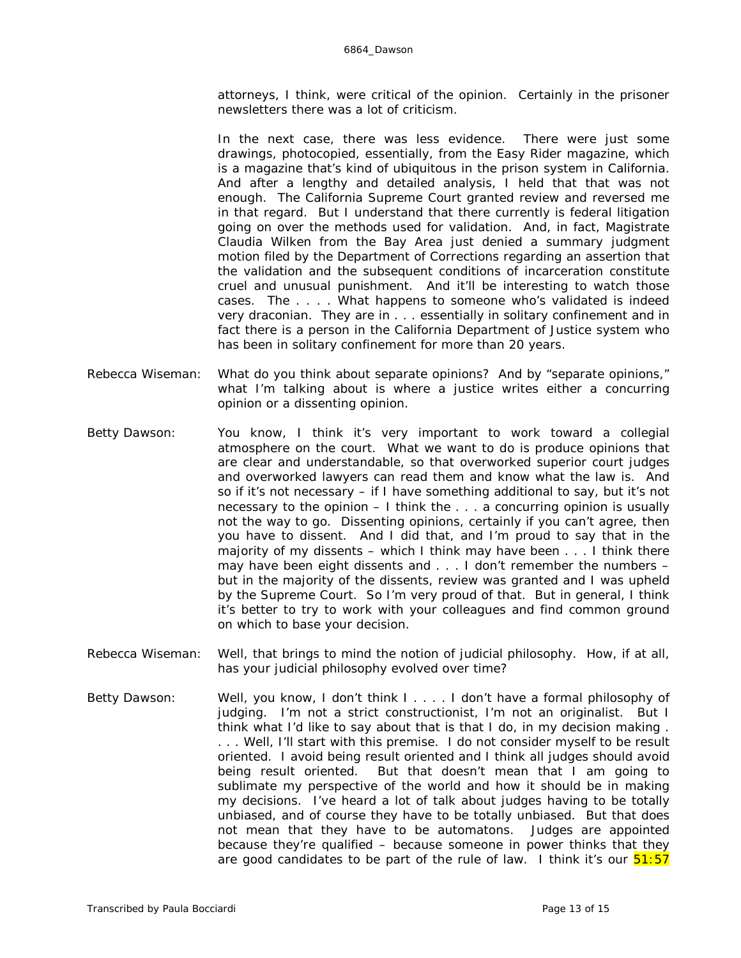attorneys, I think, were critical of the opinion. Certainly in the prisoner newsletters there was a lot of criticism.

In the next case, there was less evidence. There were just some drawings, photocopied, essentially, from the *Easy Rider* magazine, which is a magazine that's kind of ubiquitous in the prison system in California. And after a lengthy and detailed analysis, I held that that was not enough. The California Supreme Court granted review and reversed me in that regard. But I understand that there currently is federal litigation going on over the methods used for validation. And, in fact, Magistrate Claudia Wilken from the Bay Area just denied a summary judgment motion filed by the Department of Corrections regarding an assertion that the validation and the subsequent conditions of incarceration constitute cruel and unusual punishment. And it'll be interesting to watch those cases. The . . . . What happens to someone who's validated is indeed very draconian. They are in . . . essentially in solitary confinement and in fact there is a person in the California Department of Justice system who has been in solitary confinement for more than 20 years.

- Rebecca Wiseman: What do you think about separate opinions? And by "separate opinions," what I'm talking about is where a justice writes either a concurring opinion or a dissenting opinion.
- Betty Dawson: You know, I think it's very important to work toward a collegial atmosphere on the court. What we want to do is produce opinions that are clear and understandable, so that overworked superior court judges and overworked lawyers can read them and know what the law is. And so if it's not necessary – if I have something additional to say, but it's not necessary to the opinion  $-1$  think the  $\ldots$  a concurring opinion is usually not the way to go. Dissenting opinions, certainly if you can't agree, then you have to dissent. And I did that, and I'm proud to say that in the majority of my dissents – which I think may have been . . . I think there may have been eight dissents and . . . I don't remember the numbers – but in the majority of the dissents, review was granted and I was upheld by the Supreme Court. So I'm very proud of that. But in general, I think it's better to try to work with your colleagues and find common ground on which to base your decision.
- Rebecca Wiseman: Well, that brings to mind the notion of judicial philosophy. How, if at all, has your judicial philosophy evolved over time?
- Betty Dawson: Well, you know, I don't think I . . . . I don't have a formal philosophy of judging. I'm not a strict constructionist, I'm not an originalist. But I think what I'd like to say about that is that I do, in my decision making . . . . Well, I'll start with this premise. I do not consider myself to be result oriented. I avoid being result oriented and I think all judges should avoid being result oriented. But that doesn't mean that I am going to sublimate my perspective of the world and how it should be in making my decisions. I've heard a lot of talk about judges having to be totally unbiased, and of course they have to be totally unbiased. But that does not mean that they have to be automatons. Judges are appointed because they're qualified – because someone in power thinks that they are good candidates to be part of the rule of law. I think it's our  $\frac{51:57}{2}$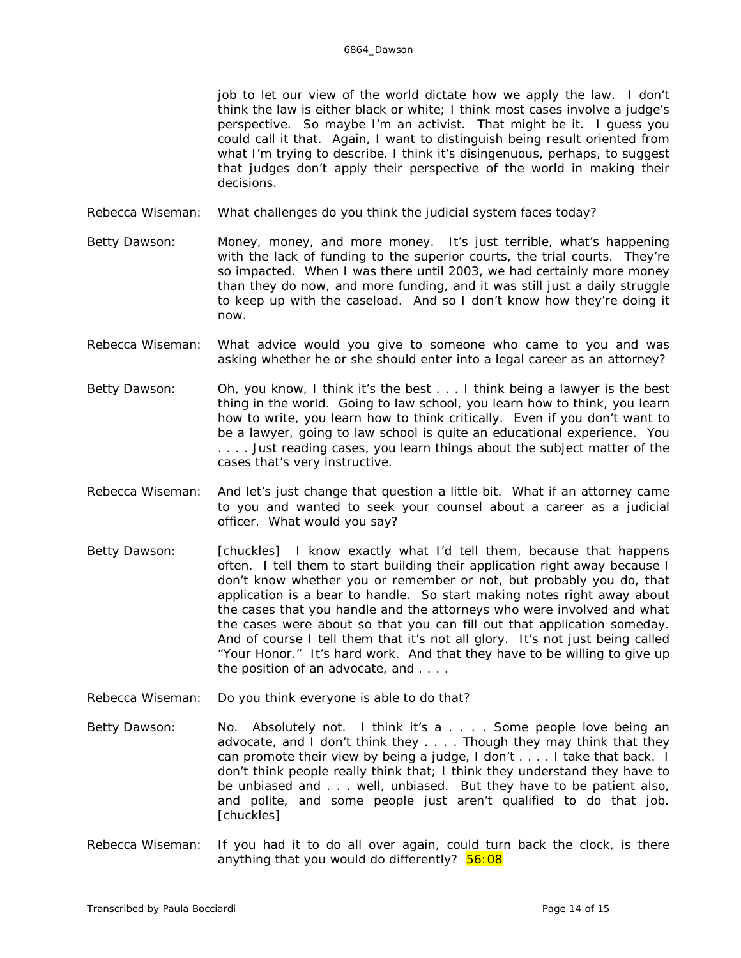job to let our view of the world dictate how we apply the law. I don't think the law is either black or white; I think most cases involve a judge's perspective. So maybe I'm an activist. That might be it. I guess you could call it that. Again, I want to distinguish being result oriented from what I'm trying to describe. I think it's disingenuous, perhaps, to suggest that judges don't apply their perspective of the world in making their decisions.

- Rebecca Wiseman: What challenges do you think the judicial system faces today?
- Betty Dawson: Money, money, and more money. It's just terrible, what's happening with the lack of funding to the superior courts, the trial courts. They're so impacted. When I was there until 2003, we had certainly more money than they do now, and more funding, and it was still just a daily struggle to keep up with the caseload. And so I don't know how they're doing it now.
- Rebecca Wiseman: What advice would you give to someone who came to you and was asking whether he or she should enter into a legal career as an attorney?
- Betty Dawson: Oh, you know, I think it's the best . . . I think being a lawyer is the best thing in the world. Going to law school, you learn how to think, you learn how to write, you learn how to think critically. Even if you don't want to be a lawyer, going to law school is quite an educational experience. You . . . . Just reading cases, you learn things about the subject matter of the cases that's very instructive.
- Rebecca Wiseman: And let's just change that question a little bit. What if an attorney came to you and wanted to seek your counsel about a career as a judicial officer. What would you say?
- Betty Dawson: *[chuckles]* I know exactly what I'd tell them, because that happens often. I tell them to start building their application right away because I don't know whether you or remember or not, but probably you do, that application is a bear to handle. So start making notes right away about the cases that *you* handle and the attorneys who were involved and what the cases were about so that you can fill out that application someday. And of course I tell them that it's not all glory. It's not just being called "Your Honor." It's hard work. And that they have to be willing to give up the position of an advocate, and . . . .
- Rebecca Wiseman: Do you think everyone is able to do that?
- Betty Dawson: No. Absolutely not. I think it's a . . . . Some people love being an advocate, and I don't think they . . . . Though they may think that they can promote their view by being a judge, I don't . . . . I take that back. I don't think people really think that; I think they understand they have to be unbiased and . . . well, unbiased. But they have to be patient also, and polite, and some people just aren't qualified to do that job. *[chuckles]*
- Rebecca Wiseman: If you had it to do all over again, could turn back the clock, is there anything that you would do differently?  $56:08$